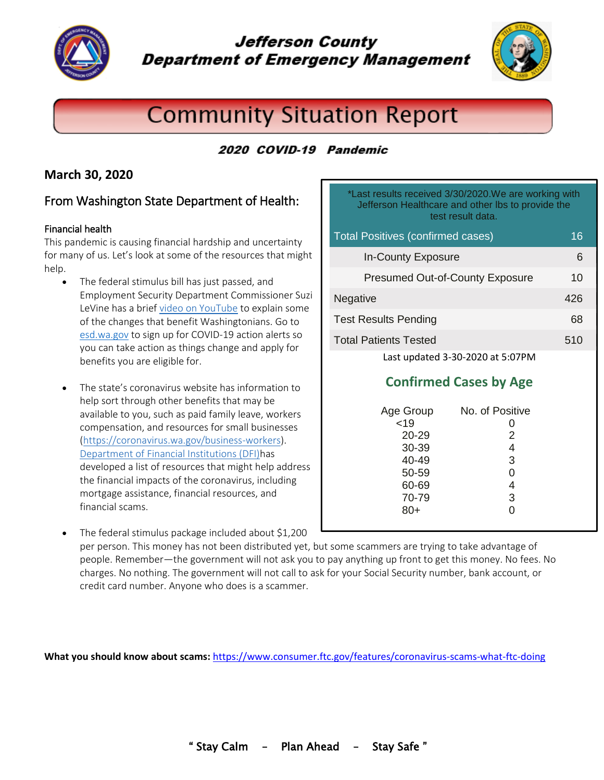

**Jefferson County Department of Emergency Management** 



# **Community Situation Report**

#### 2020 COVID-19 Pandemic

#### **March 30, 2020**

#### From Washington State Department of Health:

#### Financial health

This pandemic is causing financial hardship and uncertainty for many of us. Let's look at some of the resources that might help.

- The federal stimulus bill has just passed, and Employment Security Department Commissioner Suzi LeVine has a brie[f video on YouTube](https://lnks.gd/l/eyJhbGciOiJIUzI1NiJ9.eyJidWxsZXRpbl9saW5rX2lkIjoxMDAsInVyaSI6ImJwMjpjbGljayIsImJ1bGxldGluX2lkIjoiMjAyMDAzMjkuMTk0NjIwNzEiLCJ1cmwiOiJodHRwczovL3d3dy55b3V0dWJlLmNvbS93YXRjaD92PTZCLVQta3hhbENrIn0.oZRXrvAcEM6yCr8mz5L-YgCXG6a5tVMYFt3c7UsnSV0/br/76772157666-l) to explain some of the changes that benefit Washingtonians. Go to [esd.wa.gov](file://///hadlock/group/eoc/COVID-19%20Response/SitReps/esd.wa.gov) to sign up for COVID-19 action alerts so you can take action as things change and apply for benefits you are eligible for.
- The state's coronavirus website has information to help sort through other benefits that may be available to you, such as paid family leave, workers compensation, and resources for small businesses [\(https://coronavirus.wa.gov/business-workers\)](https://lnks.gd/l/eyJhbGciOiJIUzI1NiJ9.eyJidWxsZXRpbl9saW5rX2lkIjoxMDEsInVyaSI6ImJwMjpjbGljayIsImJ1bGxldGluX2lkIjoiMjAyMDAzMjkuMTk0NjIwNzEiLCJ1cmwiOiJodHRwczovL2Nvcm9uYXZpcnVzLndhLmdvdi9idXNpbmVzcy13b3JrZXJzIn0.kDy3nco_vx73teSpdCKXgjU-Xq_kRhG2qHq5NnVIluw/br/76772157666-l). [Department of Financial Institutions \(DFI\)h](https://lnks.gd/l/eyJhbGciOiJIUzI1NiJ9.eyJidWxsZXRpbl9saW5rX2lkIjoxMDIsInVyaSI6ImJwMjpjbGljayIsImJ1bGxldGluX2lkIjoiMjAyMDAzMjkuMTk0NjIwNzEiLCJ1cmwiOiJodHRwczovL2RmaS53YS5nb3YvY29yb25hdmlydXMifQ.wPcj-uRI1b6RKH9l3YL5jZw0SWHS6GujlcnuqfvO6Qk/br/76772157666-l)as developed a list of resources that might help address the financial impacts of the coronavirus, including mortgage assistance, financial resources, and financial scams.

 The federal stimulus package included about \$1,200 per person. This money has not been distributed yet, but some scammers are trying to take advantage of people. Remember—the government will not ask you to pay anything up front to get this money. No fees. No charges. No nothing. The government will not call to ask for your Social Security number, bank account, or credit card number. Anyone who does is a scammer.

**What you should know about scams:** <https://www.consumer.ftc.gov/features/coronavirus-scams-what-ftc-doing>

| *Last results received 3/30/2020. We are working with<br>Jefferson Healthcare and other Ibs to provide the<br>test result data. |     |
|---------------------------------------------------------------------------------------------------------------------------------|-----|
| <b>Total Positives (confirmed cases)</b>                                                                                        | 16  |
| <b>In-County Exposure</b>                                                                                                       | 6   |
| <b>Presumed Out-of-County Exposure</b>                                                                                          | 10  |
| Negative                                                                                                                        | 426 |
| <b>Test Results Pending</b>                                                                                                     | 68  |
| <b>Total Patients Tested</b>                                                                                                    | 510 |
|                                                                                                                                 |     |

Last updated 3-30-2020 at 5:07PM

### **Confirmed Cases by Age**

| Age Group | No. of Positive |
|-----------|-----------------|
| < 19      | 0               |
| 20-29     | 2               |
| 30-39     | 4               |
| 40-49     | 3               |
| 50-59     | 0               |
| 60-69     | 4               |
| 70-79     | 3               |
| 80+       | ი               |
|           |                 |